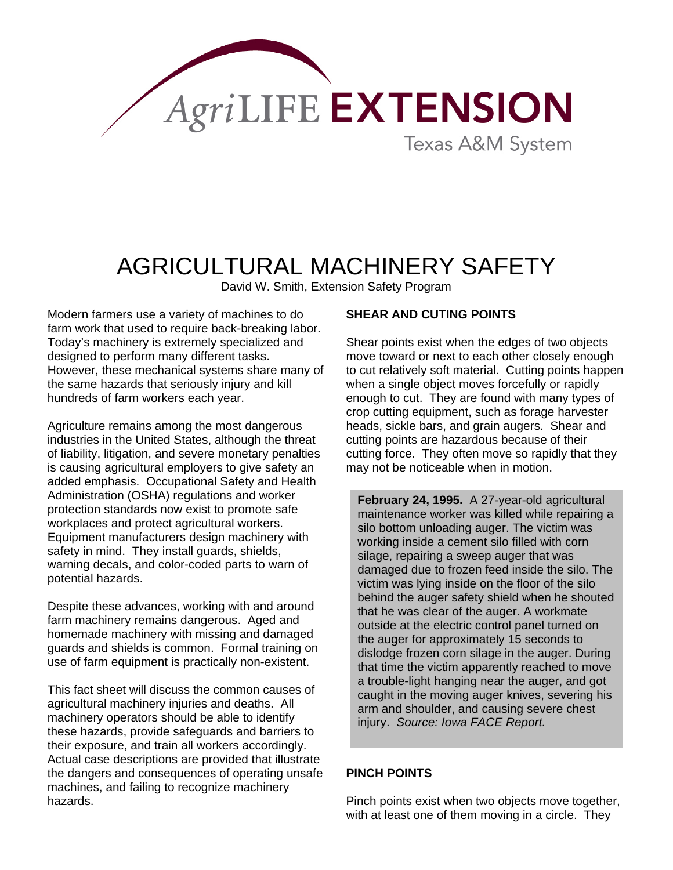

# AGRICULTURAL MACHINERY SAFETY

David W. Smith, Extension Safety Program

Modern farmers use a variety of machines to do farm work that used to require back-breaking labor. Today's machinery is extremely specialized and designed to perform many different tasks. However, these mechanical systems share many of the same hazards that seriously injury and kill hundreds of farm workers each year.

Agriculture remains among the most dangerous industries in the United States, although the threat of liability, litigation, and severe monetary penalties is causing agricultural employers to give safety an added emphasis. Occupational Safety and Health Administration (OSHA) regulations and worker protection standards now exist to promote safe workplaces and protect agricultural workers. Equipment manufacturers design machinery with safety in mind. They install guards, shields, warning decals, and color-coded parts to warn of potential hazards.

Despite these advances, working with and around farm machinery remains dangerous. Aged and homemade machinery with missing and damaged guards and shields is common. Formal training on use of farm equipment is practically non-existent.

This fact sheet will discuss the common causes of agricultural machinery injuries and deaths. All machinery operators should be able to identify these hazards, provide safeguards and barriers to their exposure, and train all workers accordingly. Actual case descriptions are provided that illustrate the dangers and consequences of operating unsafe machines, and failing to recognize machinery hazards.

#### **SHEAR AND CUTING POINTS**

Shear points exist when the edges of two objects move toward or next to each other closely enough to cut relatively soft material. Cutting points happen when a single object moves forcefully or rapidly enough to cut. They are found with many types of crop cutting equipment, such as forage harvester heads, sickle bars, and grain augers. Shear and cutting points are hazardous because of their cutting force. They often move so rapidly that they may not be noticeable when in motion.

**February 24, 1995.** A 27-year-old agricultural maintenance worker was killed while repairing a silo bottom unloading auger. The victim was working inside a cement silo filled with corn silage, repairing a sweep auger that was damaged due to frozen feed inside the silo. The victim was lying inside on the floor of the silo behind the auger safety shield when he shouted that he was clear of the auger. A workmate outside at the electric control panel turned on the auger for approximately 15 seconds to dislodge frozen corn silage in the auger. During that time the victim apparently reached to move a trouble-light hanging near the auger, and got caught in the moving auger knives, severing his arm and shoulder, and causing severe chest injury. *Source: Iowa FACE Report.*

### **PINCH POINTS**

Pinch points exist when two objects move together, with at least one of them moving in a circle. They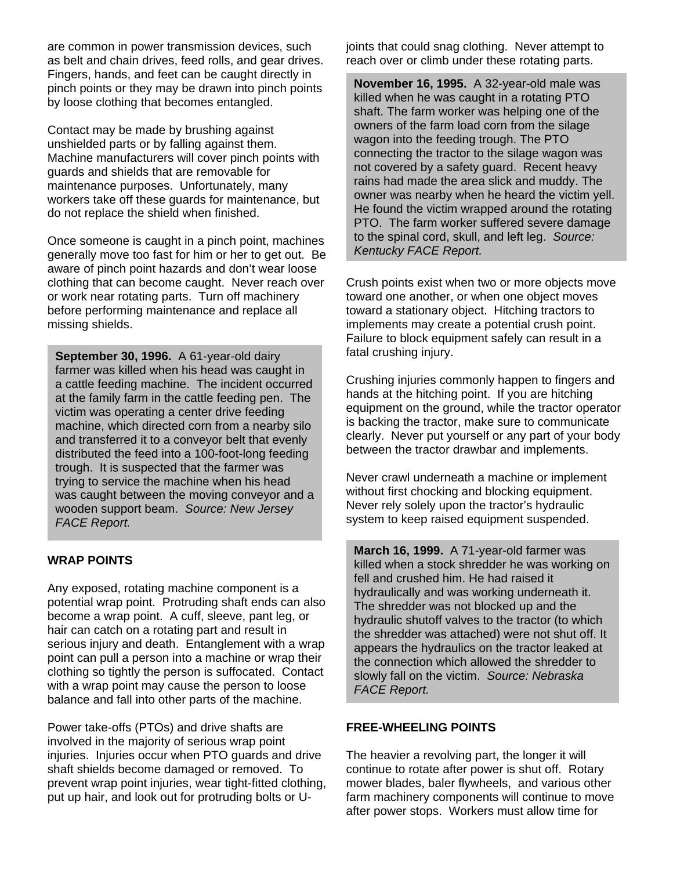are common in power transmission devices, such as belt and chain drives, feed rolls, and gear drives. Fingers, hands, and feet can be caught directly in pinch points or they may be drawn into pinch points by loose clothing that becomes entangled.

Contact may be made by brushing against unshielded parts or by falling against them. Machine manufacturers will cover pinch points with guards and shields that are removable for maintenance purposes. Unfortunately, many workers take off these guards for maintenance, but do not replace the shield when finished.

Once someone is caught in a pinch point, machines generally move too fast for him or her to get out. Be aware of pinch point hazards and don't wear loose clothing that can become caught. Never reach over or work near rotating parts. Turn off machinery before performing maintenance and replace all missing shields.

**September 30, 1996.** A 61-year-old dairy **fatal crushing injury.** farmer was killed when his head was caught in a cattle feeding machine. The incident occurred at the family farm in the cattle feeding pen. The victim was operating a center drive feeding machine, which directed corn from a nearby silo and transferred it to a conveyor belt that evenly distributed the feed into a 100-foot-long feeding trough. It is suspected that the farmer was trying to service the machine when his head was caught between the moving conveyor and a wooden support beam. *Source: New Jersey FACE Report.*

### **WRAP POINTS**

Any exposed, rotating machine component is a potential wrap point. Protruding shaft ends can also become a wrap point. A cuff, sleeve, pant leg, or hair can catch on a rotating part and result in serious injury and death. Entanglement with a wrap point can pull a person into a machine or wrap their clothing so tightly the person is suffocated. Contact with a wrap point may cause the person to loose balance and fall into other parts of the machine.

Power take-offs (PTOs) and drive shafts are involved in the majority of serious wrap point injuries. Injuries occur when PTO guards and drive shaft shields become damaged or removed. To prevent wrap point injuries, wear tight-fitted clothing, put up hair, and look out for protruding bolts or U-

joints that could snag clothing. Never attempt to reach over or climb under these rotating parts.

**Kentucky FACE Report. November 16, 1995.** A 32-year-old male was killed when he was caught in a rotating PTO shaft. The farm worker was helping one of the owners of the farm load corn from the silage wagon into the feeding trough. The PTO connecting the tractor to the silage wagon was not covered by a safety guard. Recent heavy rains had made the area slick and muddy. The owner was nearby when he heard the victim yell. He found the victim wrapped around the rotating PTO. The farm worker suffered severe damage to the spinal cord, skull, and left leg. *Source:* 

Crush points exist when two or more objects move toward one another, or when one object moves toward a stationary object. Hitching tractors to implements may create a potential crush point. Failure to block equipment safely can result in a

Crushing injuries commonly happen to fingers and hands at the hitching point. If you are hitching equipment on the ground, while the tractor operator is backing the tractor, make sure to communicate clearly. Never put yourself or any part of your body between the tractor drawbar and implements.

Never crawl underneath a machine or implement without first chocking and blocking equipment. Never rely solely upon the tractor's hydraulic system to keep raised equipment suspended.

**March 16, 1999.** A 71-year-old farmer was killed when a stock shredder he was working on fell and crushed him. He had raised it hydraulically and was working underneath it. The shredder was not blocked up and the hydraulic shutoff valves to the tractor (to which the shredder was attached) were not shut off. It appears the hydraulics on the tractor leaked at the connection which allowed the shredder to slowly fall on the victim. *Source: Nebraska FACE Report.* 

### **FREE-WHEELING POINTS**

The heavier a revolving part, the longer it will continue to rotate after power is shut off. Rotary mower blades, baler flywheels, and various other farm machinery components will continue to move after power stops. Workers must allow time for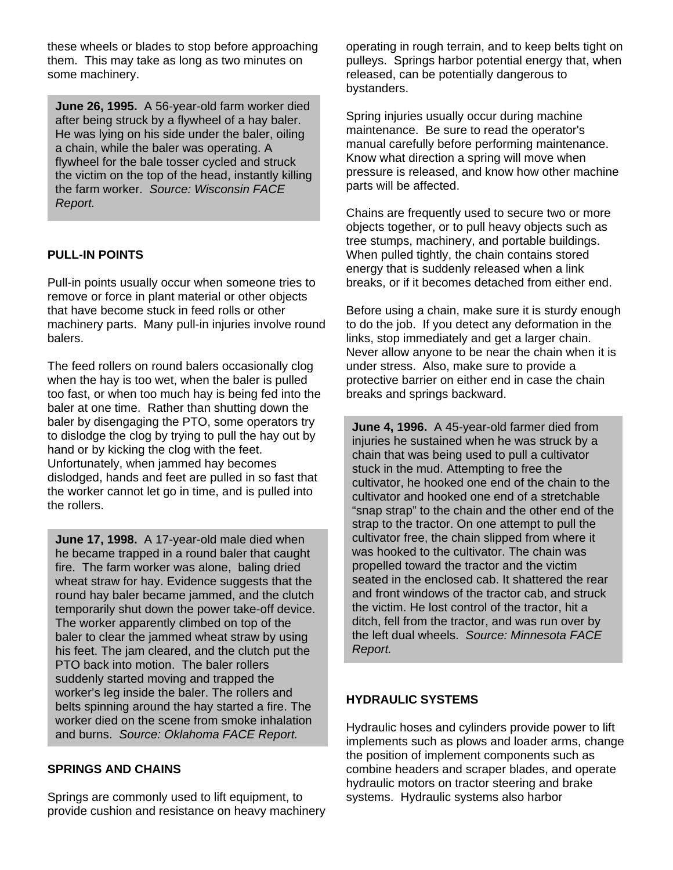these wheels or blades to stop before approaching them. This may take as long as two minutes on some machinery.

**June 26, 1995.** A 56-year-old farm worker died after being struck by a flywheel of a hay baler. He was lying on his side under the baler, oiling a chain, while the baler was operating. A flywheel for the bale tosser cycled and struck the victim on the top of the head, instantly killing the farm worker. *Source: Wisconsin FACE Report.*

## **PULL-IN POINTS**

Pull-in points usually occur when someone tries to remove or force in plant material or other objects that have become stuck in feed rolls or other machinery parts. Many pull-in injuries involve round balers.

The feed rollers on round balers occasionally clog when the hay is too wet, when the baler is pulled too fast, or when too much hay is being fed into the baler at one time. Rather than shutting down the baler by disengaging the PTO, some operators try to dislodge the clog by trying to pull the hay out by hand or by kicking the clog with the feet. Unfortunately, when jammed hay becomes dislodged, hands and feet are pulled in so fast that the worker cannot let go in time, and is pulled into the rollers.

**June 17, 1998.** A 17-year-old male died when he became trapped in a round baler that caught fire. The farm worker was alone, baling dried wheat straw for hay. Evidence suggests that the round hay baler became jammed, and the clutch temporarily shut down the power take-off device. The worker apparently climbed on top of the baler to clear the jammed wheat straw by using his feet. The jam cleared, and the clutch put the PTO back into motion. The baler rollers suddenly started moving and trapped the worker's leg inside the baler. The rollers and belts spinning around the hay started a fire. The worker died on the scene from smoke inhalation and burns. *Source: Oklahoma FACE Report.*

#### **SPRINGS AND CHAINS**

Springs are commonly used to lift equipment, to provide cushion and resistance on heavy machinery operating in rough terrain, and to keep belts tight on pulleys. Springs harbor potential energy that, when released, can be potentially dangerous to bystanders.

Spring injuries usually occur during machine maintenance. Be sure to read the operator's manual carefully before performing maintenance. Know what direction a spring will move when pressure is released, and know how other machine parts will be affected.

Chains are frequently used to secure two or more objects together, or to pull heavy objects such as tree stumps, machinery, and portable buildings. When pulled tightly, the chain contains stored energy that is suddenly released when a link breaks, or if it becomes detached from either end.

Before using a chain, make sure it is sturdy enough to do the job. If you detect any deformation in the links, stop immediately and get a larger chain. Never allow anyone to be near the chain when it is under stress. Also, make sure to provide a protective barrier on either end in case the chain breaks and springs backward.

**June 4, 1996.** A 45-year-old farmer died from injuries he sustained when he was struck by a chain that was being used to pull a cultivator stuck in the mud. Attempting to free the cultivator, he hooked one end of the chain to the cultivator and hooked one end of a stretchable "snap strap" to the chain and the other end of the strap to the tractor. On one attempt to pull the cultivator free, the chain slipped from where it was hooked to the cultivator. The chain was propelled toward the tractor and the victim seated in the enclosed cab. It shattered the rear and front windows of the tractor cab, and struck the victim. He lost control of the tractor, hit a ditch, fell from the tractor, and was run over by the left dual wheels. *Source: Minnesota FACE Report.* 

### **HYDRAULIC SYSTEMS**

Hydraulic hoses and cylinders provide power to lift implements such as plows and loader arms, change the position of implement components such as combine headers and scraper blades, and operate hydraulic motors on tractor steering and brake systems. Hydraulic systems also harbor